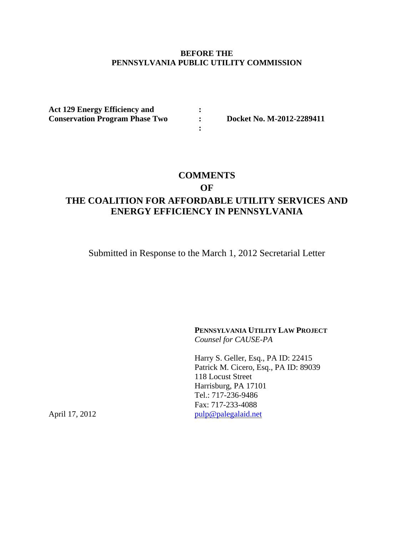## **BEFORE THE PENNSYLVANIA PUBLIC UTILITY COMMISSION**

 **:** 

 **:** 

**Act 129 Energy Efficiency and Conservation Program Phase Two**

 **: Docket No. M-2012-2289411** 

## **COMMENTS**

**OF** 

## **THE COALITION FOR AFFORDABLE UTILITY SERVICES AND ENERGY EFFICIENCY IN PENNSYLVANIA**

Submitted in Response to the March 1, 2012 Secretarial Letter

**PENNSYLVANIA UTILITY LAW PROJECT** *Counsel for CAUSE-PA* 

Harry S. Geller, Esq., PA ID: 22415 Patrick M. Cicero, Esq., PA ID: 89039 118 Locust Street Harrisburg, PA 17101 Tel.: 717-236-9486 Fax: 717-233-4088 April 17, 2012 pulp@palegalaid.net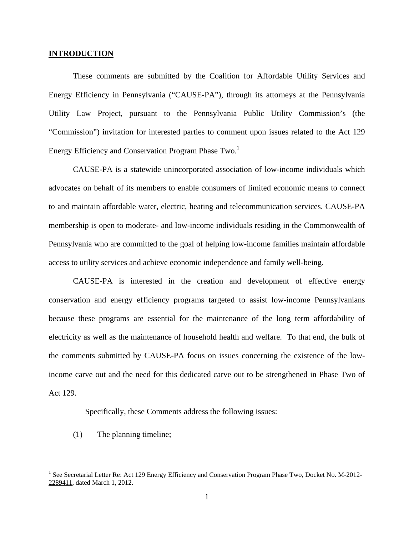#### **INTRODUCTION**

These comments are submitted by the Coalition for Affordable Utility Services and Energy Efficiency in Pennsylvania ("CAUSE-PA"), through its attorneys at the Pennsylvania Utility Law Project, pursuant to the Pennsylvania Public Utility Commission's (the "Commission") invitation for interested parties to comment upon issues related to the Act 129 Energy Efficiency and Conservation Program Phase  $Two.<sup>1</sup>$ 

CAUSE-PA is a statewide unincorporated association of low-income individuals which advocates on behalf of its members to enable consumers of limited economic means to connect to and maintain affordable water, electric, heating and telecommunication services. CAUSE-PA membership is open to moderate- and low-income individuals residing in the Commonwealth of Pennsylvania who are committed to the goal of helping low-income families maintain affordable access to utility services and achieve economic independence and family well-being.

CAUSE-PA is interested in the creation and development of effective energy conservation and energy efficiency programs targeted to assist low-income Pennsylvanians because these programs are essential for the maintenance of the long term affordability of electricity as well as the maintenance of household health and welfare. To that end, the bulk of the comments submitted by CAUSE-PA focus on issues concerning the existence of the lowincome carve out and the need for this dedicated carve out to be strengthened in Phase Two of Act 129.

Specifically, these Comments address the following issues:

(1) The planning timeline;

<sup>&</sup>lt;sup>1</sup> See Secretarial Letter Re: Act 129 Energy Efficiency and Conservation Program Phase Two, Docket No. M-2012-2289411, dated March 1, 2012.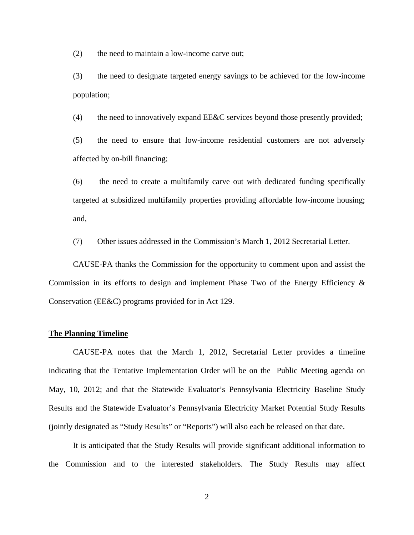(2) the need to maintain a low-income carve out;

(3) the need to designate targeted energy savings to be achieved for the low-income population;

(4) the need to innovatively expand EE&C services beyond those presently provided;

(5) the need to ensure that low-income residential customers are not adversely affected by on-bill financing;

(6) the need to create a multifamily carve out with dedicated funding specifically targeted at subsidized multifamily properties providing affordable low-income housing; and,

(7) Other issues addressed in the Commission's March 1, 2012 Secretarial Letter.

CAUSE-PA thanks the Commission for the opportunity to comment upon and assist the Commission in its efforts to design and implement Phase Two of the Energy Efficiency  $\&$ Conservation (EE&C) programs provided for in Act 129.

#### **The Planning Timeline**

CAUSE-PA notes that the March 1, 2012, Secretarial Letter provides a timeline indicating that the Tentative Implementation Order will be on the Public Meeting agenda on May, 10, 2012; and that the Statewide Evaluator's Pennsylvania Electricity Baseline Study Results and the Statewide Evaluator's Pennsylvania Electricity Market Potential Study Results (jointly designated as "Study Results" or "Reports") will also each be released on that date.

It is anticipated that the Study Results will provide significant additional information to the Commission and to the interested stakeholders. The Study Results may affect

2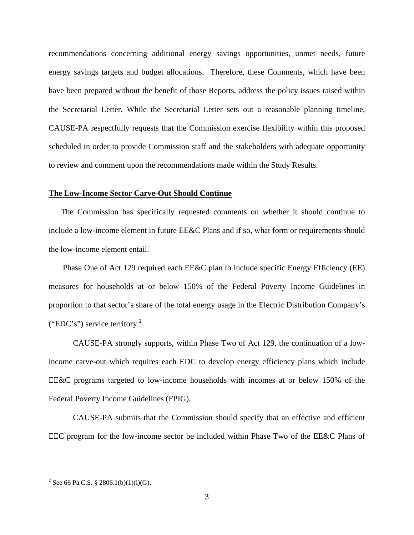recommendations concerning additional energy savings opportunities, unmet needs, future energy savings targets and budget allocations. Therefore, these Comments, which have been have been prepared without the benefit of those Reports, address the policy issues raised within the Secretarial Letter. While the Secretarial Letter sets out a reasonable planning timeline, CAUSE-PA respectfully requests that the Commission exercise flexibility within this proposed scheduled in order to provide Commission staff and the stakeholders with adequate opportunity to review and comment upon the recommendations made within the Study Results.

#### **The Low-Income Sector Carve-Out Should Continue**

The Commission has specifically requested comments on whether it should continue to include a low-income element in future EE&C Plans and if so, what form or requirements should the low-income element entail.

 Phase One of Act 129 required each EE&C plan to include specific Energy Efficiency (EE) measures for households at or below 150% of the Federal Poverty Income Guidelines in proportion to that sector's share of the total energy usage in the Electric Distribution Company's ("EDC's") service territory.<sup>2</sup>

 CAUSE-PA strongly supports, within Phase Two of Act 129, the continuation of a lowincome carve-out which requires each EDC to develop energy efficiency plans which include EE&C programs targeted to low-income households with incomes at or below 150% of the Federal Poverty Income Guidelines (FPIG).

 CAUSE-PA submits that the Commission should specify that an effective and efficient EEC program for the low-income sector be included within Phase Two of the EE&C Plans of

<sup>&</sup>lt;sup>2</sup> See 66 Pa.C.S. § 2806.1(b)(1)(i)(G).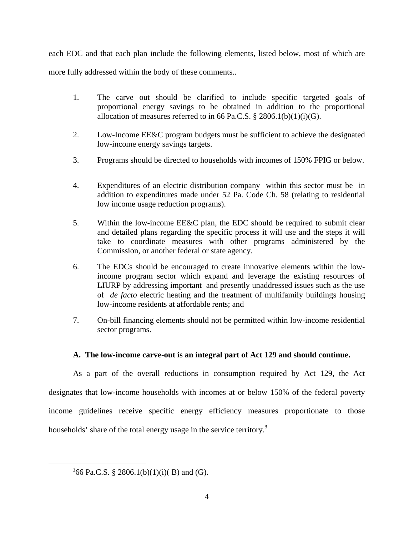each EDC and that each plan include the following elements, listed below, most of which are

more fully addressed within the body of these comments..

- 1. The carve out should be clarified to include specific targeted goals of proportional energy savings to be obtained in addition to the proportional allocation of measures referred to in 66 Pa.C.S.  $\S$  2806.1(b)(1)(i)(G).
- 2. Low-Income EE&C program budgets must be sufficient to achieve the designated low-income energy savings targets.
- 3. Programs should be directed to households with incomes of 150% FPIG or below.
- 4. Expenditures of an electric distribution company within this sector must be in addition to expenditures made under 52 Pa. Code Ch. 58 (relating to residential low income usage reduction programs).
- 5. Within the low-income EE&C plan, the EDC should be required to submit clear and detailed plans regarding the specific process it will use and the steps it will take to coordinate measures with other programs administered by the Commission, or another federal or state agency.
- 6. The EDCs should be encouraged to create innovative elements within the lowincome program sector which expand and leverage the existing resources of LIURP by addressing important and presently unaddressed issues such as the use of *de facto* electric heating and the treatment of multifamily buildings housing low-income residents at affordable rents; and
- 7. On-bill financing elements should not be permitted within low-income residential sector programs.

## **A. The low-income carve-out is an integral part of Act 129 and should continue.**

As a part of the overall reductions in consumption required by Act 129, the Act designates that low-income households with incomes at or below 150% of the federal poverty income guidelines receive specific energy efficiency measures proportionate to those households' share of the total energy usage in the service territory.<sup>3</sup>

 $366$  Pa.C.S. § 2806.1(b)(1)(i)(B) and (G).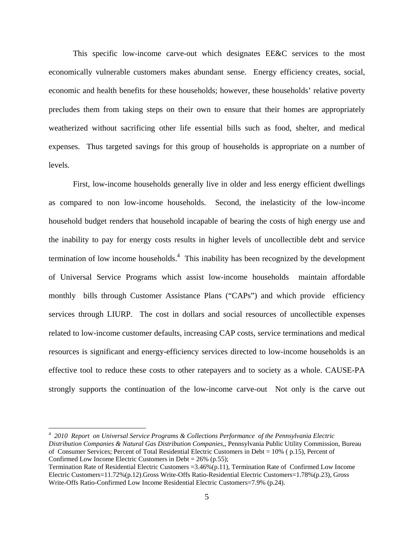This specific low-income carve-out which designates EE&C services to the most economically vulnerable customers makes abundant sense. Energy efficiency creates, social, economic and health benefits for these households; however, these households' relative poverty precludes them from taking steps on their own to ensure that their homes are appropriately weatherized without sacrificing other life essential bills such as food, shelter, and medical expenses. Thus targeted savings for this group of households is appropriate on a number of levels.

First, low-income households generally live in older and less energy efficient dwellings as compared to non low-income households. Second, the inelasticity of the low-income household budget renders that household incapable of bearing the costs of high energy use and the inability to pay for energy costs results in higher levels of uncollectible debt and service termination of low income households.<sup>4</sup> This inability has been recognized by the development of Universal Service Programs which assist low-income households maintain affordable monthly bills through Customer Assistance Plans ("CAPs") and which provide efficiency services through LIURP. The cost in dollars and social resources of uncollectible expenses related to low-income customer defaults, increasing CAP costs, service terminations and medical resources is significant and energy-efficiency services directed to low-income households is an effective tool to reduce these costs to other ratepayers and to society as a whole. CAUSE-PA strongly supports the continuation of the low-income carve-out Not only is the carve out

 $\overline{a}$ 4 *2010 Report on Universal Service Programs & Collections Performance of the Pennsylvania Electric Distribution Companies & Natural Gas Distribution Companies,*, Pennsylvania Public Utility Commission, Bureau of Consumer Services; Percent of Total Residential Electric Customers in Debt = 10% ( p.15), Percent of Confirmed Low Income Electric Customers in Debt =  $26\%$  (p.55);

Termination Rate of Residential Electric Customers =3.46%(p.11), Termination Rate of Confirmed Low Income Electric Customers=11.72%(p.12).Gross Write-Offs Ratio-Residential Electric Customers=1.78%(p.23), Gross Write-Offs Ratio-Confirmed Low Income Residential Electric Customers=7.9% (p.24).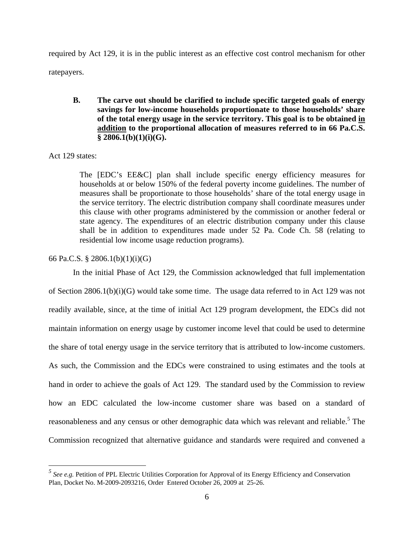required by Act 129, it is in the public interest as an effective cost control mechanism for other ratepayers.

**B. The carve out should be clarified to include specific targeted goals of energy savings for low-income households proportionate to those households' share of the total energy usage in the service territory. This goal is to be obtained in addition to the proportional allocation of measures referred to in 66 Pa.C.S. § 2806.1(b)(1)(i)(G).** 

## Act 129 states:

The [EDC's EE&C] plan shall include specific energy efficiency measures for households at or below 150% of the federal poverty income guidelines. The number of measures shall be proportionate to those households' share of the total energy usage in the service territory. The electric distribution company shall coordinate measures under this clause with other programs administered by the commission or another federal or state agency. The expenditures of an electric distribution company under this clause shall be in addition to expenditures made under 52 Pa. Code Ch. 58 (relating to residential low income usage reduction programs).

## 66 Pa.C.S. § 2806.1(b)(1)(i)(G)

In the initial Phase of Act 129, the Commission acknowledged that full implementation of Section  $2806.1(b)(i)(G)$  would take some time. The usage data referred to in Act 129 was not readily available, since, at the time of initial Act 129 program development, the EDCs did not maintain information on energy usage by customer income level that could be used to determine the share of total energy usage in the service territory that is attributed to low-income customers. As such, the Commission and the EDCs were constrained to using estimates and the tools at hand in order to achieve the goals of Act 129. The standard used by the Commission to review how an EDC calculated the low-income customer share was based on a standard of reasonableness and any census or other demographic data which was relevant and reliable.<sup>5</sup> The Commission recognized that alternative guidance and standards were required and convened a

 *5 See e.g.* Petition of PPL Electric Utilities Corporation for Approval of its Energy Efficiency and Conservation Plan, Docket No. M-2009-2093216, Order Entered October 26, 2009 at 25-26.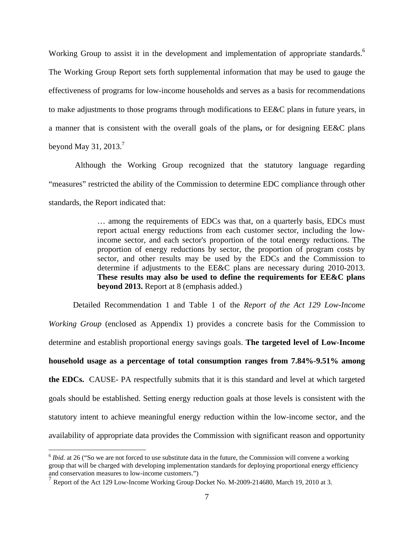Working Group to assist it in the development and implementation of appropriate standards.<sup>6</sup> The Working Group Report sets forth supplemental information that may be used to gauge the effectiveness of programs for low-income households and serves as a basis for recommendations to make adjustments to those programs through modifications to EE&C plans in future years, in a manner that is consistent with the overall goals of the plans**,** or for designing EE&C plans beyond May 31, 2013. $<sup>7</sup>$ </sup>

 Although the Working Group recognized that the statutory language regarding "measures" restricted the ability of the Commission to determine EDC compliance through other standards, the Report indicated that:

> … among the requirements of EDCs was that, on a quarterly basis, EDCs must report actual energy reductions from each customer sector, including the lowincome sector, and each sector's proportion of the total energy reductions. The proportion of energy reductions by sector, the proportion of program costs by sector, and other results may be used by the EDCs and the Commission to determine if adjustments to the EE&C plans are necessary during 2010-2013. **These results may also be used to define the requirements for EE&C plans beyond 2013.** Report at 8 (emphasis added.)

Detailed Recommendation 1 and Table 1 of the *Report of the Act 129 Low-Income Working Group* (enclosed as Appendix 1) provides a concrete basis for the Commission to determine and establish proportional energy savings goals. **The targeted level of Low-Income household usage as a percentage of total consumption ranges from 7.84%-9.51% among the EDCs.** CAUSE- PA respectfully submits that it is this standard and level at which targeted goals should be established. Setting energy reduction goals at those levels is consistent with the statutory intent to achieve meaningful energy reduction within the low-income sector, and the availability of appropriate data provides the Commission with significant reason and opportunity

<u>.</u>

 $6$  *Ibid.* at 26 ("So we are not forced to use substitute data in the future, the Commission will convene a working group that will be charged with developing implementation standards for deploying proportional energy efficiency and conservation measures to low-income customers.")

<sup>&</sup>lt;sup>7</sup> Report of the Act 129 Low-Income Working Group Docket No. M-2009-214680, March 19, 2010 at 3.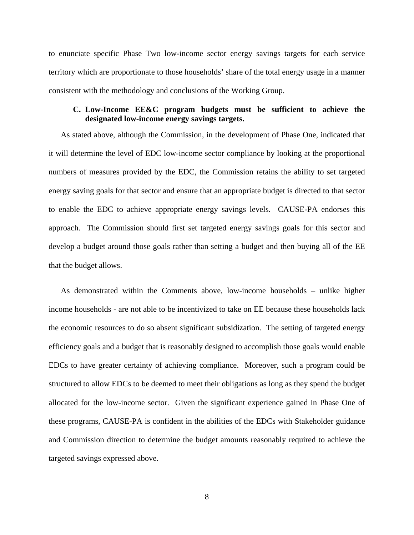to enunciate specific Phase Two low-income sector energy savings targets for each service territory which are proportionate to those households' share of the total energy usage in a manner consistent with the methodology and conclusions of the Working Group.

## **C. Low-Income EE&C program budgets must be sufficient to achieve the designated low-income energy savings targets.**

As stated above, although the Commission, in the development of Phase One, indicated that it will determine the level of EDC low-income sector compliance by looking at the proportional numbers of measures provided by the EDC, the Commission retains the ability to set targeted energy saving goals for that sector and ensure that an appropriate budget is directed to that sector to enable the EDC to achieve appropriate energy savings levels. CAUSE-PA endorses this approach. The Commission should first set targeted energy savings goals for this sector and develop a budget around those goals rather than setting a budget and then buying all of the EE that the budget allows.

As demonstrated within the Comments above, low-income households – unlike higher income households - are not able to be incentivized to take on EE because these households lack the economic resources to do so absent significant subsidization. The setting of targeted energy efficiency goals and a budget that is reasonably designed to accomplish those goals would enable EDCs to have greater certainty of achieving compliance. Moreover, such a program could be structured to allow EDCs to be deemed to meet their obligations as long as they spend the budget allocated for the low-income sector. Given the significant experience gained in Phase One of these programs, CAUSE-PA is confident in the abilities of the EDCs with Stakeholder guidance and Commission direction to determine the budget amounts reasonably required to achieve the targeted savings expressed above.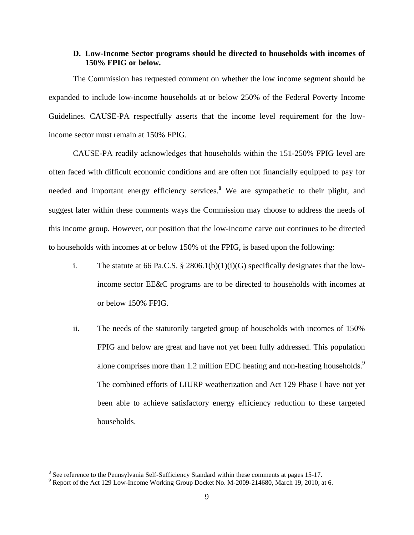## **D. Low-Income Sector programs should be directed to households with incomes of 150% FPIG or below.**

The Commission has requested comment on whether the low income segment should be expanded to include low-income households at or below 250% of the Federal Poverty Income Guidelines. CAUSE-PA respectfully asserts that the income level requirement for the lowincome sector must remain at 150% FPIG.

CAUSE-PA readily acknowledges that households within the 151-250% FPIG level are often faced with difficult economic conditions and are often not financially equipped to pay for needed and important energy efficiency services.<sup>8</sup> We are sympathetic to their plight, and suggest later within these comments ways the Commission may choose to address the needs of this income group. However, our position that the low-income carve out continues to be directed to households with incomes at or below 150% of the FPIG, is based upon the following:

- i. The statute at 66 Pa.C.S.  $\S$  2806.1(b)(1)(i)(G) specifically designates that the lowincome sector EE&C programs are to be directed to households with incomes at or below 150% FPIG.
- ii. The needs of the statutorily targeted group of households with incomes of 150% FPIG and below are great and have not yet been fully addressed. This population alone comprises more than 1.2 million EDC heating and non-heating households.<sup>9</sup> The combined efforts of LIURP weatherization and Act 129 Phase I have not yet been able to achieve satisfactory energy efficiency reduction to these targeted households.

<sup>&</sup>lt;sup>8</sup> See reference to the Pennsylvania Self-Sufficiency Standard within these comments at pages 15-17.<br><sup>9</sup> Benert of the Act 120 Levy Income Working Group Decket No. M 2000 214680, March 19, 2010.

 $9$  Report of the Act 129 Low-Income Working Group Docket No. M-2009-214680, March 19, 2010, at 6.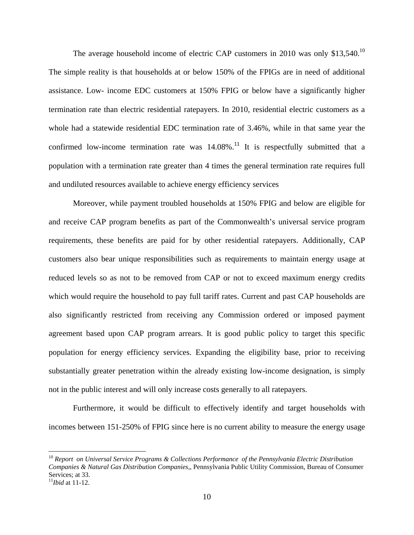The average household income of electric CAP customers in 2010 was only  $$13,540$ .<sup>10</sup> The simple reality is that households at or below 150% of the FPIGs are in need of additional assistance. Low- income EDC customers at 150% FPIG or below have a significantly higher termination rate than electric residential ratepayers. In 2010, residential electric customers as a whole had a statewide residential EDC termination rate of 3.46%, while in that same year the confirmed low-income termination rate was  $14.08\%$ .<sup>11</sup> It is respectfully submitted that a population with a termination rate greater than 4 times the general termination rate requires full and undiluted resources available to achieve energy efficiency services

Moreover, while payment troubled households at 150% FPIG and below are eligible for and receive CAP program benefits as part of the Commonwealth's universal service program requirements, these benefits are paid for by other residential ratepayers. Additionally, CAP customers also bear unique responsibilities such as requirements to maintain energy usage at reduced levels so as not to be removed from CAP or not to exceed maximum energy credits which would require the household to pay full tariff rates. Current and past CAP households are also significantly restricted from receiving any Commission ordered or imposed payment agreement based upon CAP program arrears. It is good public policy to target this specific population for energy efficiency services. Expanding the eligibility base, prior to receiving substantially greater penetration within the already existing low-income designation, is simply not in the public interest and will only increase costs generally to all ratepayers.

 Furthermore, it would be difficult to effectively identify and target households with incomes between 151-250% of FPIG since here is no current ability to measure the energy usage

<sup>10</sup> *Report on Universal Service Programs & Collections Performance of the Pennsylvania Electric Distribution Companies & Natural Gas Distribution Companies,*, Pennsylvania Public Utility Commission, Bureau of Consumer Services; at 33.

<sup>11</sup>*Ibid* at 11-12.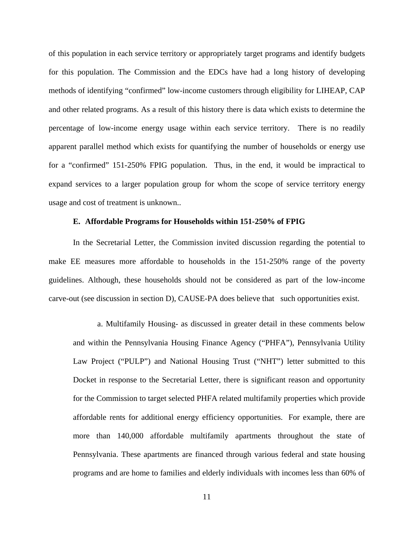of this population in each service territory or appropriately target programs and identify budgets for this population. The Commission and the EDCs have had a long history of developing methods of identifying "confirmed" low-income customers through eligibility for LIHEAP, CAP and other related programs. As a result of this history there is data which exists to determine the percentage of low-income energy usage within each service territory. There is no readily apparent parallel method which exists for quantifying the number of households or energy use for a "confirmed" 151-250% FPIG population. Thus, in the end, it would be impractical to expand services to a larger population group for whom the scope of service territory energy usage and cost of treatment is unknown..

#### **E. Affordable Programs for Households within 151-250% of FPIG**

 In the Secretarial Letter, the Commission invited discussion regarding the potential to make EE measures more affordable to households in the 151-250% range of the poverty guidelines. Although, these households should not be considered as part of the low-income carve-out (see discussion in section D), CAUSE-PA does believe that such opportunities exist.

 a. Multifamily Housing- as discussed in greater detail in these comments below and within the Pennsylvania Housing Finance Agency ("PHFA"), Pennsylvania Utility Law Project ("PULP") and National Housing Trust ("NHT") letter submitted to this Docket in response to the Secretarial Letter, there is significant reason and opportunity for the Commission to target selected PHFA related multifamily properties which provide affordable rents for additional energy efficiency opportunities. For example, there are more than 140,000 affordable multifamily apartments throughout the state of Pennsylvania. These apartments are financed through various federal and state housing programs and are home to families and elderly individuals with incomes less than 60% of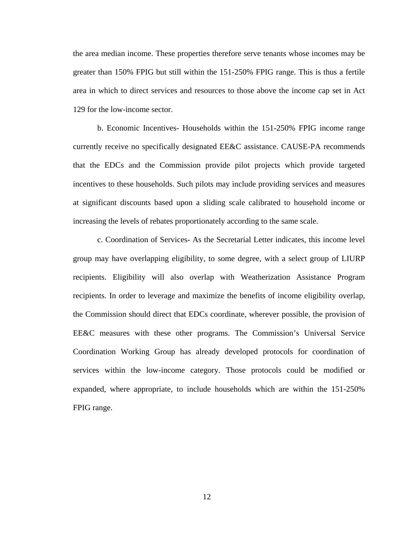the area median income. These properties therefore serve tenants whose incomes may be greater than 150% FPIG but still within the 151-250% FPIG range. This is thus a fertile area in which to direct services and resources to those above the income cap set in Act 129 for the low-income sector.

 b. Economic Incentives- Households within the 151-250% FPIG income range currently receive no specifically designated EE&C assistance. CAUSE-PA recommends that the EDCs and the Commission provide pilot projects which provide targeted incentives to these households. Such pilots may include providing services and measures at significant discounts based upon a sliding scale calibrated to household income or increasing the levels of rebates proportionately according to the same scale.

 c. Coordination of Services- As the Secretarial Letter indicates, this income level group may have overlapping eligibility, to some degree, with a select group of LIURP recipients. Eligibility will also overlap with Weatherization Assistance Program recipients. In order to leverage and maximize the benefits of income eligibility overlap, the Commission should direct that EDCs coordinate, wherever possible, the provision of EE&C measures with these other programs. The Commission's Universal Service Coordination Working Group has already developed protocols for coordination of services within the low-income category. Those protocols could be modified or expanded, where appropriate, to include households which are within the 151-250% FPIG range.

12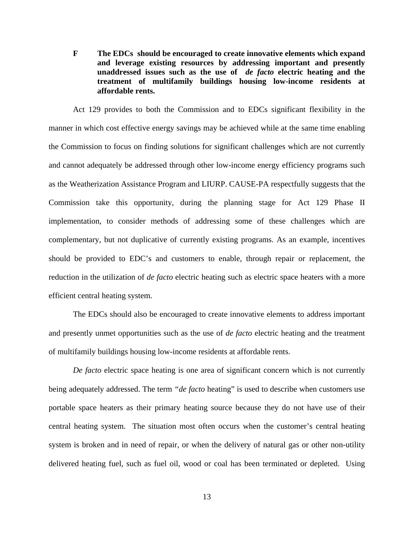**F The EDCs should be encouraged to create innovative elements which expand and leverage existing resources by addressing important and presently unaddressed issues such as the use of** *de facto* **electric heating and the treatment of multifamily buildings housing low-income residents at affordable rents.**

Act 129 provides to both the Commission and to EDCs significant flexibility in the manner in which cost effective energy savings may be achieved while at the same time enabling the Commission to focus on finding solutions for significant challenges which are not currently and cannot adequately be addressed through other low-income energy efficiency programs such as the Weatherization Assistance Program and LIURP. CAUSE-PA respectfully suggests that the Commission take this opportunity, during the planning stage for Act 129 Phase II implementation, to consider methods of addressing some of these challenges which are complementary, but not duplicative of currently existing programs. As an example, incentives should be provided to EDC's and customers to enable, through repair or replacement, the reduction in the utilization of *de facto* electric heating such as electric space heaters with a more efficient central heating system.

The EDCs should also be encouraged to create innovative elements to address important and presently unmet opportunities such as the use of *de facto* electric heating and the treatment of multifamily buildings housing low-income residents at affordable rents.

*De facto* electric space heating is one area of significant concern which is not currently being adequately addressed. The term *"de facto* heating" is used to describe when customers use portable space heaters as their primary heating source because they do not have use of their central heating system. The situation most often occurs when the customer's central heating system is broken and in need of repair, or when the delivery of natural gas or other non-utility delivered heating fuel, such as fuel oil, wood or coal has been terminated or depleted. Using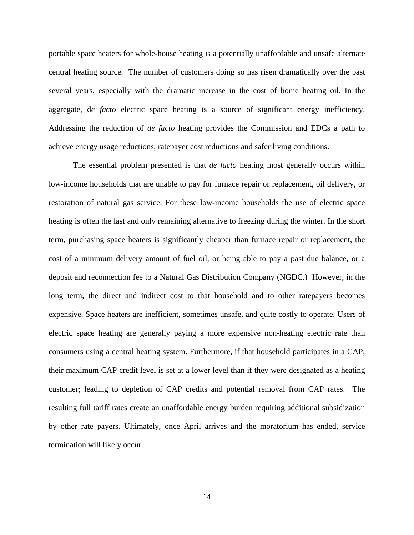portable space heaters for whole-house heating is a potentially unaffordable and unsafe alternate central heating source. The number of customers doing so has risen dramatically over the past several years, especially with the dramatic increase in the cost of home heating oil. In the aggregate, d*e facto* electric space heating is a source of significant energy inefficiency. Addressing the reduction of *de facto* heating provides the Commission and EDCs a path to achieve energy usage reductions, ratepayer cost reductions and safer living conditions.

The essential problem presented is that *de facto* heating most generally occurs within low-income households that are unable to pay for furnace repair or replacement, oil delivery, or restoration of natural gas service. For these low-income households the use of electric space heating is often the last and only remaining alternative to freezing during the winter. In the short term, purchasing space heaters is significantly cheaper than furnace repair or replacement, the cost of a minimum delivery amount of fuel oil, or being able to pay a past due balance, or a deposit and reconnection fee to a Natural Gas Distribution Company (NGDC.) However, in the long term, the direct and indirect cost to that household and to other ratepayers becomes expensive. Space heaters are inefficient, sometimes unsafe, and quite costly to operate. Users of electric space heating are generally paying a more expensive non-heating electric rate than consumers using a central heating system. Furthermore, if that household participates in a CAP, their maximum CAP credit level is set at a lower level than if they were designated as a heating customer; leading to depletion of CAP credits and potential removal from CAP rates. The resulting full tariff rates create an unaffordable energy burden requiring additional subsidization by other rate payers. Ultimately, once April arrives and the moratorium has ended, service termination will likely occur.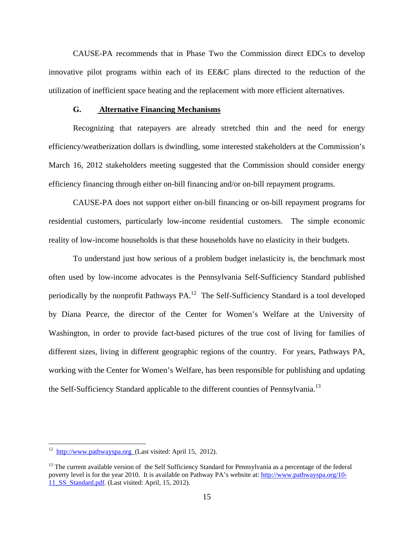CAUSE-PA recommends that in Phase Two the Commission direct EDCs to develop innovative pilot programs within each of its EE&C plans directed to the reduction of the utilization of inefficient space heating and the replacement with more efficient alternatives.

#### **G. Alternative Financing Mechanisms**

Recognizing that ratepayers are already stretched thin and the need for energy efficiency/weatherization dollars is dwindling, some interested stakeholders at the Commission's March 16, 2012 stakeholders meeting suggested that the Commission should consider energy efficiency financing through either on-bill financing and/or on-bill repayment programs.

CAUSE-PA does not support either on-bill financing or on-bill repayment programs for residential customers, particularly low-income residential customers. The simple economic reality of low-income households is that these households have no elasticity in their budgets.

To understand just how serious of a problem budget inelasticity is, the benchmark most often used by low-income advocates is the Pennsylvania Self-Sufficiency Standard published periodically by the nonprofit Pathways PA.12 The Self-Sufficiency Standard is a tool developed by Diana Pearce, the director of the Center for Women's Welfare at the University of Washington, in order to provide fact-based pictures of the true cost of living for families of different sizes, living in different geographic regions of the country. For years, Pathways PA, working with the Center for Women's Welfare, has been responsible for publishing and updating the Self-Sufficiency Standard applicable to the different counties of Pennsylvania.<sup>13</sup>

1

 $12$  http://www.pathwayspa.org (Last visited: April 15, 2012).

<sup>&</sup>lt;sup>13</sup> The current available version of the Self Sufficiency Standard for Pennsylvania as a percentage of the federal poverty level is for the year 2010. It is available on Pathway PA's website at: http://www.pathwayspa.org/10- 11 SS Standard.pdf. (Last visited: April, 15, 2012).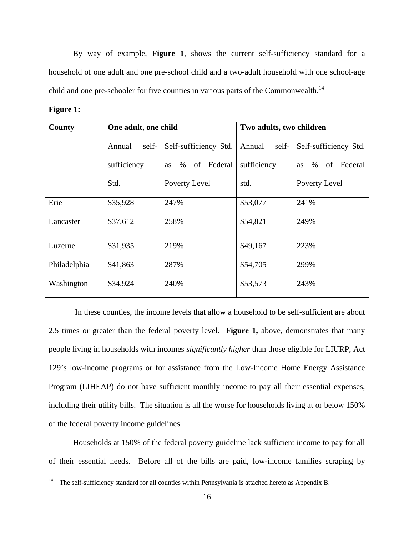By way of example, **Figure 1**, shows the current self-sufficiency standard for a household of one adult and one pre-school child and a two-adult household with one school-age child and one pre-schooler for five counties in various parts of the Commonwealth.<sup>14</sup>

| 19111 |  |
|-------|--|
|       |  |
|       |  |

| County       | One adult, one child |                       | Two adults, two children |                                    |  |  |
|--------------|----------------------|-----------------------|--------------------------|------------------------------------|--|--|
|              | self-<br>Annual      | Self-sufficiency Std. | Annual<br>self-          | Self-sufficiency Std.              |  |  |
|              | sufficiency          | as % of Federal       | sufficiency              | Federal<br>$\%$<br>of<br><b>as</b> |  |  |
|              | Std.                 | Poverty Level         | std.                     | Poverty Level                      |  |  |
| Erie         | \$35,928             | 247%                  | \$53,077                 | 241%                               |  |  |
| Lancaster    | \$37,612             | 258%                  | \$54,821                 | 249%                               |  |  |
| Luzerne      | \$31,935             | 219%                  | \$49,167                 | 223%                               |  |  |
| Philadelphia | \$41,863             | 287%                  | \$54,705                 | 299%                               |  |  |
| Washington   | \$34,924             | 240%                  | \$53,573                 | 243%                               |  |  |

 In these counties, the income levels that allow a household to be self-sufficient are about 2.5 times or greater than the federal poverty level. **Figure 1,** above, demonstrates that many people living in households with incomes *significantly higher* than those eligible for LIURP, Act 129's low-income programs or for assistance from the Low-Income Home Energy Assistance Program (LIHEAP) do not have sufficient monthly income to pay all their essential expenses, including their utility bills. The situation is all the worse for households living at or below 150% of the federal poverty income guidelines.

Households at 150% of the federal poverty guideline lack sufficient income to pay for all of their essential needs. Before all of the bills are paid, low-income families scraping by

 $14$ The self-sufficiency standard for all counties within Pennsylvania is attached hereto as Appendix B.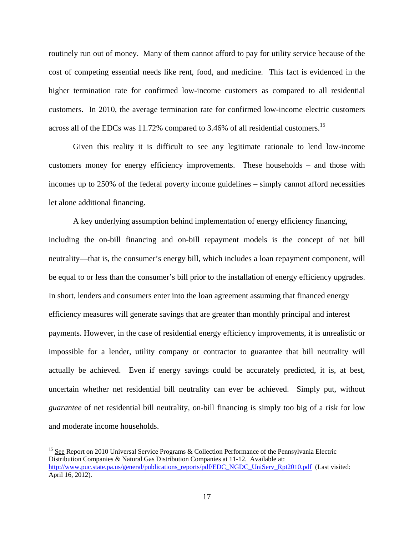routinely run out of money. Many of them cannot afford to pay for utility service because of the cost of competing essential needs like rent, food, and medicine. This fact is evidenced in the higher termination rate for confirmed low-income customers as compared to all residential customers. In 2010, the average termination rate for confirmed low-income electric customers across all of the EDCs was 11.72% compared to 3.46% of all residential customers.<sup>15</sup>

Given this reality it is difficult to see any legitimate rationale to lend low-income customers money for energy efficiency improvements. These households – and those with incomes up to 250% of the federal poverty income guidelines – simply cannot afford necessities let alone additional financing.

A key underlying assumption behind implementation of energy efficiency financing, including the on-bill financing and on-bill repayment models is the concept of net bill neutrality—that is, the consumer's energy bill, which includes a loan repayment component, will be equal to or less than the consumer's bill prior to the installation of energy efficiency upgrades. In short, lenders and consumers enter into the loan agreement assuming that financed energy efficiency measures will generate savings that are greater than monthly principal and interest payments. However, in the case of residential energy efficiency improvements, it is unrealistic or impossible for a lender, utility company or contractor to guarantee that bill neutrality will actually be achieved. Even if energy savings could be accurately predicted, it is, at best, uncertain whether net residential bill neutrality can ever be achieved. Simply put, without *guarantee* of net residential bill neutrality, on-bill financing is simply too big of a risk for low and moderate income households.

1

<sup>&</sup>lt;sup>15</sup> See Report on 2010 Universal Service Programs & Collection Performance of the Pennsylvania Electric Distribution Companies & Natural Gas Distribution Companies at 11-12. Available at: http://www.puc.state.pa.us/general/publications\_reports/pdf/EDC\_NGDC\_UniServ\_Rpt2010.pdf (Last visited: April 16, 2012).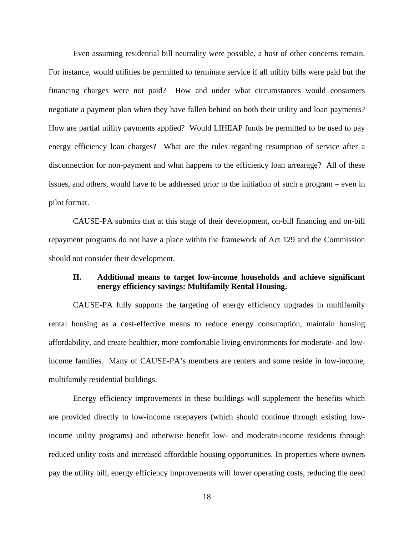Even assuming residential bill neutrality were possible, a host of other concerns remain. For instance, would utilities be permitted to terminate service if all utility bills were paid but the financing charges were not paid? How and under what circumstances would consumers negotiate a payment plan when they have fallen behind on both their utility and loan payments? How are partial utility payments applied? Would LIHEAP funds be permitted to be used to pay energy efficiency loan charges? What are the rules regarding resumption of service after a disconnection for non-payment and what happens to the efficiency loan arrearage? All of these issues, and others, would have to be addressed prior to the initiation of such a program – even in pilot format.

 CAUSE-PA submits that at this stage of their development, on-bill financing and on-bill repayment programs do not have a place within the framework of Act 129 and the Commission should not consider their development.

## **H. Additional means to target low-income households and achieve significant energy efficiency savings: Multifamily Rental Housing.**

CAUSE-PA fully supports the targeting of energy efficiency upgrades in multifamily rental housing as a cost-effective means to reduce energy consumption, maintain housing affordability, and create healthier, more comfortable living environments for moderate- and lowincome families. Many of CAUSE-PA's members are renters and some reside in low-income, multifamily residential buildings.

 Energy efficiency improvements in these buildings will supplement the benefits which are provided directly to low-income ratepayers (which should continue through existing lowincome utility programs) and otherwise benefit low- and moderate-income residents through reduced utility costs and increased affordable housing opportunities. In properties where owners pay the utility bill, energy efficiency improvements will lower operating costs, reducing the need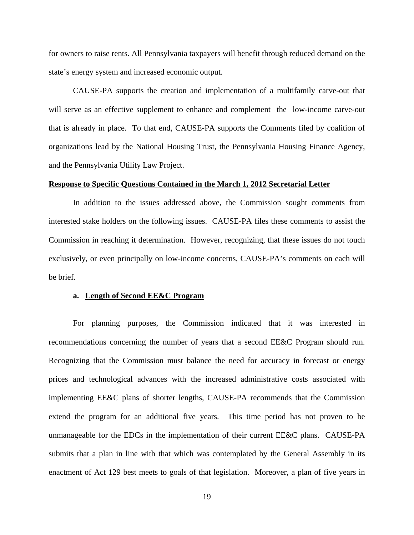for owners to raise rents. All Pennsylvania taxpayers will benefit through reduced demand on the state's energy system and increased economic output.

 CAUSE-PA supports the creation and implementation of a multifamily carve-out that will serve as an effective supplement to enhance and complement the low-income carve-out that is already in place. To that end, CAUSE-PA supports the Comments filed by coalition of organizations lead by the National Housing Trust, the Pennsylvania Housing Finance Agency, and the Pennsylvania Utility Law Project.

#### **Response to Specific Questions Contained in the March 1, 2012 Secretarial Letter**

 In addition to the issues addressed above, the Commission sought comments from interested stake holders on the following issues. CAUSE-PA files these comments to assist the Commission in reaching it determination. However, recognizing, that these issues do not touch exclusively, or even principally on low-income concerns, CAUSE-PA's comments on each will be brief.

#### **a. Length of Second EE&C Program**

For planning purposes, the Commission indicated that it was interested in recommendations concerning the number of years that a second EE&C Program should run. Recognizing that the Commission must balance the need for accuracy in forecast or energy prices and technological advances with the increased administrative costs associated with implementing EE&C plans of shorter lengths, CAUSE-PA recommends that the Commission extend the program for an additional five years. This time period has not proven to be unmanageable for the EDCs in the implementation of their current EE&C plans. CAUSE-PA submits that a plan in line with that which was contemplated by the General Assembly in its enactment of Act 129 best meets to goals of that legislation. Moreover, a plan of five years in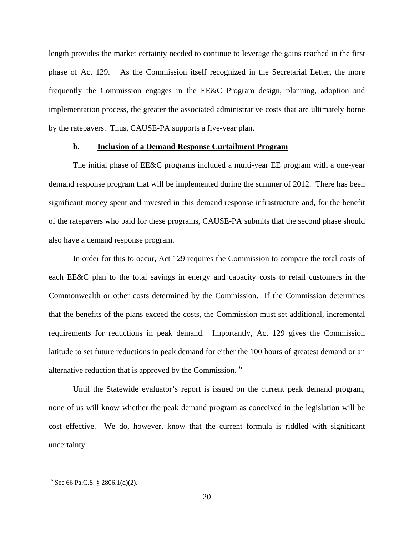length provides the market certainty needed to continue to leverage the gains reached in the first phase of Act 129. As the Commission itself recognized in the Secretarial Letter, the more frequently the Commission engages in the EE&C Program design, planning, adoption and implementation process, the greater the associated administrative costs that are ultimately borne by the ratepayers. Thus, CAUSE-PA supports a five-year plan.

#### **b. Inclusion of a Demand Response Curtailment Program**

The initial phase of EE&C programs included a multi-year EE program with a one-year demand response program that will be implemented during the summer of 2012. There has been significant money spent and invested in this demand response infrastructure and, for the benefit of the ratepayers who paid for these programs, CAUSE-PA submits that the second phase should also have a demand response program.

In order for this to occur, Act 129 requires the Commission to compare the total costs of each EE&C plan to the total savings in energy and capacity costs to retail customers in the Commonwealth or other costs determined by the Commission. If the Commission determines that the benefits of the plans exceed the costs, the Commission must set additional, incremental requirements for reductions in peak demand. Importantly, Act 129 gives the Commission latitude to set future reductions in peak demand for either the 100 hours of greatest demand or an alternative reduction that is approved by the Commission.<sup>16</sup>

Until the Statewide evaluator's report is issued on the current peak demand program, none of us will know whether the peak demand program as conceived in the legislation will be cost effective. We do, however, know that the current formula is riddled with significant uncertainty.

<sup>16</sup> See 66 Pa.C.S. § 2806.1(d)(2).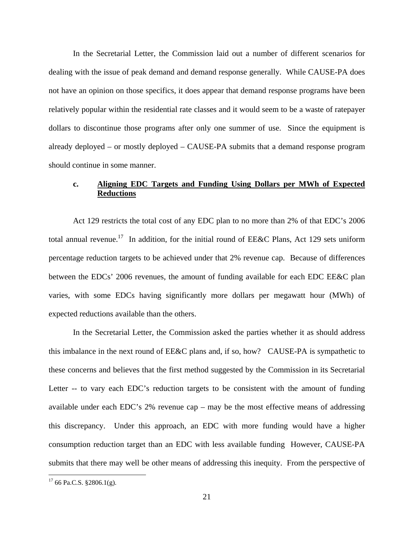In the Secretarial Letter, the Commission laid out a number of different scenarios for dealing with the issue of peak demand and demand response generally. While CAUSE-PA does not have an opinion on those specifics, it does appear that demand response programs have been relatively popular within the residential rate classes and it would seem to be a waste of ratepayer dollars to discontinue those programs after only one summer of use. Since the equipment is already deployed – or mostly deployed – CAUSE-PA submits that a demand response program should continue in some manner.

## **c. Aligning EDC Targets and Funding Using Dollars per MWh of Expected Reductions**

Act 129 restricts the total cost of any EDC plan to no more than 2% of that EDC's 2006 total annual revenue.<sup>17</sup> In addition, for the initial round of EE&C Plans, Act 129 sets uniform percentage reduction targets to be achieved under that 2% revenue cap. Because of differences between the EDCs' 2006 revenues, the amount of funding available for each EDC EE&C plan varies, with some EDCs having significantly more dollars per megawatt hour (MWh) of expected reductions available than the others.

In the Secretarial Letter, the Commission asked the parties whether it as should address this imbalance in the next round of EE&C plans and, if so, how? CAUSE-PA is sympathetic to these concerns and believes that the first method suggested by the Commission in its Secretarial Letter -- to vary each EDC's reduction targets to be consistent with the amount of funding available under each EDC's 2% revenue cap – may be the most effective means of addressing this discrepancy. Under this approach, an EDC with more funding would have a higher consumption reduction target than an EDC with less available funding However, CAUSE-PA submits that there may well be other means of addressing this inequity. From the perspective of

 $17$  66 Pa.C.S. §2806.1(g).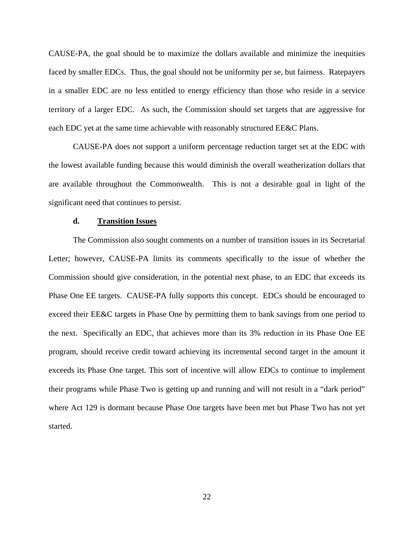CAUSE-PA, the goal should be to maximize the dollars available and minimize the inequities faced by smaller EDCs. Thus, the goal should not be uniformity per se, but fairness. Ratepayers in a smaller EDC are no less entitled to energy efficiency than those who reside in a service territory of a larger EDC. As such, the Commission should set targets that are aggressive for each EDC yet at the same time achievable with reasonably structured EE&C Plans.

CAUSE-PA does not support a uniform percentage reduction target set at the EDC with the lowest available funding because this would diminish the overall weatherization dollars that are available throughout the Commonwealth. This is not a desirable goal in light of the significant need that continues to persist.

#### **d. Transition Issues**

The Commission also sought comments on a number of transition issues in its Secretarial Letter; however, CAUSE-PA limits its comments specifically to the issue of whether the Commission should give consideration, in the potential next phase, to an EDC that exceeds its Phase One EE targets. CAUSE-PA fully supports this concept. EDCs should be encouraged to exceed their EE&C targets in Phase One by permitting them to bank savings from one period to the next. Specifically an EDC, that achieves more than its 3% reduction in its Phase One EE program, should receive credit toward achieving its incremental second target in the amount it exceeds its Phase One target. This sort of incentive will allow EDCs to continue to implement their programs while Phase Two is getting up and running and will not result in a "dark period" where Act 129 is dormant because Phase One targets have been met but Phase Two has not yet started.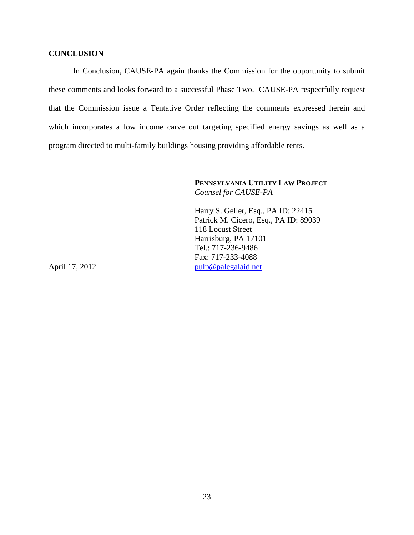## **CONCLUSION**

In Conclusion, CAUSE-PA again thanks the Commission for the opportunity to submit these comments and looks forward to a successful Phase Two. CAUSE-PA respectfully request that the Commission issue a Tentative Order reflecting the comments expressed herein and which incorporates a low income carve out targeting specified energy savings as well as a program directed to multi-family buildings housing providing affordable rents.

> **PENNSYLVANIA UTILITY LAW PROJECT** *Counsel for CAUSE-PA*

Harry S. Geller, Esq., PA ID: 22415 Patrick M. Cicero, Esq., PA ID: 89039 118 Locust Street Harrisburg, PA 17101 Tel.: 717-236-9486 Fax: 717-233-4088 April 17, 2012 pulp@palegalaid.net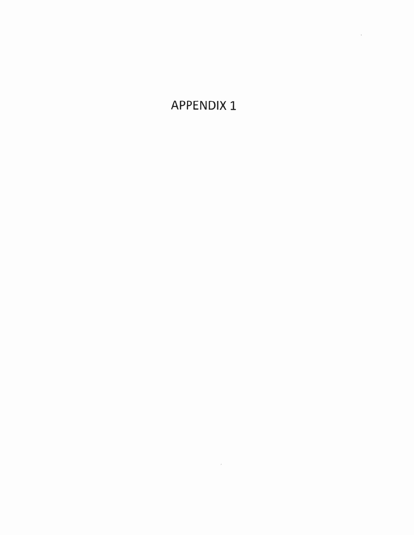**APPENDIX 1** 

 $\label{eq:2} \mathcal{F}(\mathcal{F}) = \mathcal{F}(\mathcal{F}) \mathcal{F}(\mathcal{F})$ 

 $\epsilon$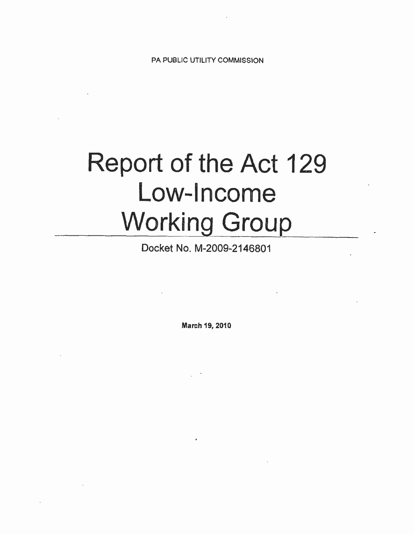PA PUBLIC UTILITY COMMISSION

# Report of the Act 129 Low-Income **Working Group**

Docket No. M-2009-2146801

March 19, 2010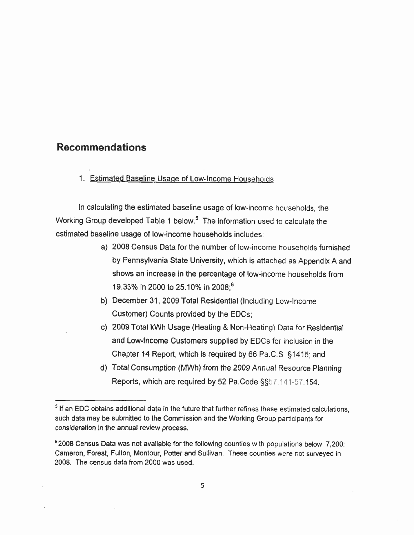# **Recommendations**

1. Estimated Baseline Usage of Low-Income Households

In calculating the estimated baseline usage of low-income households, the Working Group developed Table 1 below.<sup>5</sup> The information used to calculate the estimated baseline usage of low-income households includes:

- a) 2008 Census Data for the number of low-income households furnished by Pennsylvania State University, which is attached as Appendix A and shows an increase in the percentage of low-income households from 19.33% in 2000 to 25.10% in 2008;<sup>6</sup>
- b) December 31, 2009 Total Residential (Including Low-Income Customer) Counts provided by the EDCs;
- c) 2009 Total kWh Usage (Heating & Non-Heating) Data for Residential and Low-Income Customers supplied by EDCs for inclusion in the Chapter 14 Report, which is required by 66 Pa.C.S. §1415; and
- d) Total Consumption (MWh) from the 2009 Annual Resource Planning Reports, which are required by 52 Pa.Code §§57.141-57.154.

<sup>&</sup>lt;sup>5</sup> If an EDC obtains additional data in the future that further refines these estimated calculations, such data may be submitted to the Commission and the Working Group participants for consideration in the annual review process.

<sup>\*2008</sup> Census Data was not available for the following counties with populations below 7,200: Cameron, Forest, Fulton, Montour, Potter and Sullivan. These counties were not surveyed in 2008. The census data from 2000 was used.